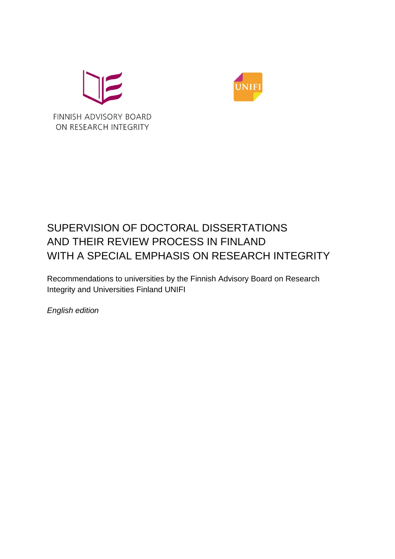



# SUPERVISION OF DOCTORAL DISSERTATIONS AND THEIR REVIEW PROCESS IN FINLAND WITH A SPECIAL EMPHASIS ON RESEARCH INTEGRITY

Recommendations to universities by the Finnish Advisory Board on Research Integrity and Universities Finland UNIFI

*English edition*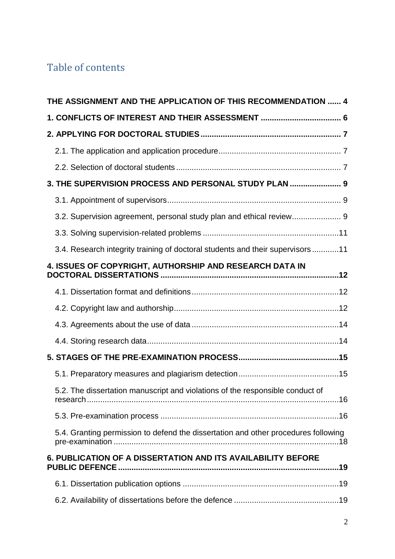# Table of contents

| THE ASSIGNMENT AND THE APPLICATION OF THIS RECOMMENDATION  4                       |  |
|------------------------------------------------------------------------------------|--|
| 1. CONFLICTS OF INTEREST AND THEIR ASSESSMENT  6                                   |  |
|                                                                                    |  |
|                                                                                    |  |
|                                                                                    |  |
| 3. THE SUPERVISION PROCESS AND PERSONAL STUDY PLAN  9                              |  |
|                                                                                    |  |
| 3.2. Supervision agreement, personal study plan and ethical review 9               |  |
|                                                                                    |  |
| 3.4. Research integrity training of doctoral students and their supervisors 11     |  |
| 4. ISSUES OF COPYRIGHT, AUTHORSHIP AND RESEARCH DATA IN                            |  |
|                                                                                    |  |
|                                                                                    |  |
|                                                                                    |  |
|                                                                                    |  |
|                                                                                    |  |
|                                                                                    |  |
| 5.2. The dissertation manuscript and violations of the responsible conduct of      |  |
|                                                                                    |  |
| 5.4. Granting permission to defend the dissertation and other procedures following |  |
| 6. PUBLICATION OF A DISSERTATION AND ITS AVAILABILITY BEFORE                       |  |
|                                                                                    |  |
|                                                                                    |  |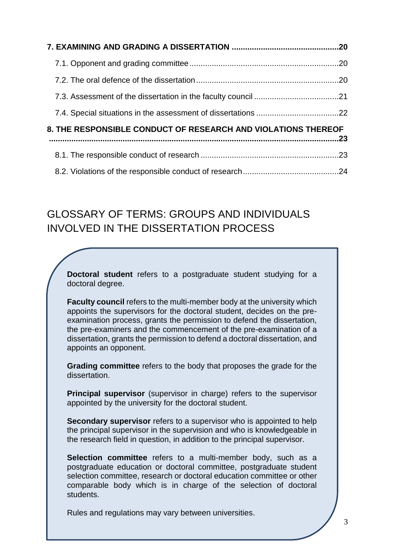| 8. THE RESPONSIBLE CONDUCT OF RESEARCH AND VIOLATIONS THEREOF |  |  |
|---------------------------------------------------------------|--|--|
|                                                               |  |  |
|                                                               |  |  |

### GLOSSARY OF TERMS: GROUPS AND INDIVIDUALS INVOLVED IN THE DISSERTATION PROCESS

**Doctoral student** refers to a postgraduate student studying for a doctoral degree.

**Faculty council** refers to the multi-member body at the university which appoints the supervisors for the doctoral student, decides on the preexamination process, grants the permission to defend the dissertation, the pre-examiners and the commencement of the pre-examination of a dissertation, grants the permission to defend a doctoral dissertation, and appoints an opponent.

**Grading committee** refers to the body that proposes the grade for the dissertation.

**Principal supervisor** (supervisor in charge) refers to the supervisor appointed by the university for the doctoral student.

**Secondary supervisor** refers to a supervisor who is appointed to help the principal supervisor in the supervision and who is knowledgeable in the research field in question, in addition to the principal supervisor.

**Selection committee** refers to a multi-member body, such as a postgraduate education or doctoral committee, postgraduate student selection committee, research or doctoral education committee or other comparable body which is in charge of the selection of doctoral students.

Rules and regulations may vary between universities.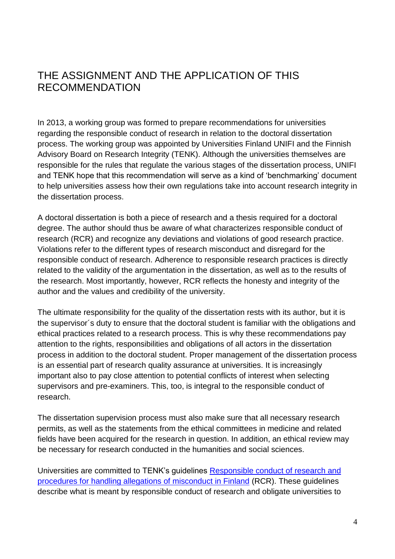### <span id="page-3-0"></span>THE ASSIGNMENT AND THE APPLICATION OF THIS RECOMMENDATION

In 2013, a working group was formed to prepare recommendations for universities regarding the responsible conduct of research in relation to the doctoral dissertation process. The working group was appointed by Universities Finland UNIFI and the Finnish Advisory Board on Research Integrity (TENK). Although the universities themselves are responsible for the rules that regulate the various stages of the dissertation process, UNIFI and TENK hope that this recommendation will serve as a kind of 'benchmarking' document to help universities assess how their own regulations take into account research integrity in the dissertation process.

A doctoral dissertation is both a piece of research and a thesis required for a doctoral degree. The author should thus be aware of what characterizes responsible conduct of research (RCR) and recognize any deviations and violations of good research practice. Violations refer to the different types of research misconduct and disregard for the responsible conduct of research. Adherence to responsible research practices is directly related to the validity of the argumentation in the dissertation, as well as to the results of the research. Most importantly, however, RCR reflects the honesty and integrity of the author and the values and credibility of the university.

The ultimate responsibility for the quality of the dissertation rests with its author, but it is the supervisor´s duty to ensure that the doctoral student is familiar with the obligations and ethical practices related to a research process. This is why these recommendations pay attention to the rights, responsibilities and obligations of all actors in the dissertation process in addition to the doctoral student. Proper management of the dissertation process is an essential part of research quality assurance at universities. It is increasingly important also to pay close attention to potential conflicts of interest when selecting supervisors and pre-examiners. This, too, is integral to the responsible conduct of research.

The dissertation supervision process must also make sure that all necessary research permits, as well as the statements from the ethical committees in medicine and related fields have been acquired for the research in question. In addition, an ethical review may be necessary for research conducted in the humanities and social sciences.

Universities are committed to TENK's guidelines [Responsible conduct of research and](http://www.tenk.fi/sites/tenk.fi/files/HTK_ohje_2012.pdf)  [procedures for handling allegations of misconduct in Finland](http://www.tenk.fi/sites/tenk.fi/files/HTK_ohje_2012.pdf) (RCR). These guidelines describe what is meant by responsible conduct of research and obligate universities to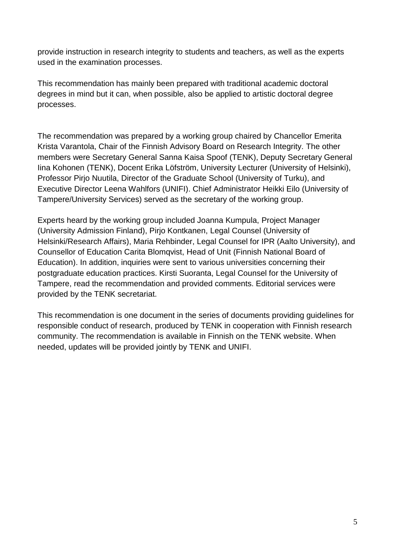provide instruction in research integrity to students and teachers, as well as the experts used in the examination processes.

This recommendation has mainly been prepared with traditional academic doctoral degrees in mind but it can, when possible, also be applied to artistic doctoral degree processes.

The recommendation was prepared by a working group chaired by Chancellor Emerita Krista Varantola, Chair of the Finnish Advisory Board on Research Integrity. The other members were Secretary General Sanna Kaisa Spoof (TENK), Deputy Secretary General Iina Kohonen (TENK), Docent Erika Löfström, University Lecturer (University of Helsinki), Professor Pirjo Nuutila, Director of the Graduate School (University of Turku), and Executive Director Leena Wahlfors (UNIFI). Chief Administrator Heikki Eilo (University of Tampere/University Services) served as the secretary of the working group.

Experts heard by the working group included Joanna Kumpula, Project Manager (University Admission Finland), Pirjo Kontkanen, Legal Counsel (University of Helsinki/Research Affairs), Maria Rehbinder, Legal Counsel for IPR (Aalto University), and Counsellor of Education Carita Blomqvist, Head of Unit (Finnish National Board of Education). In addition, inquiries were sent to various universities concerning their postgraduate education practices. Kirsti Suoranta, Legal Counsel for the University of Tampere, read the recommendation and provided comments. Editorial services were provided by the TENK secretariat.

This recommendation is one document in the series of documents providing guidelines for responsible conduct of research, produced by TENK in cooperation with Finnish research community. The recommendation is available in Finnish on the TENK website. When needed, updates will be provided jointly by TENK and UNIFI.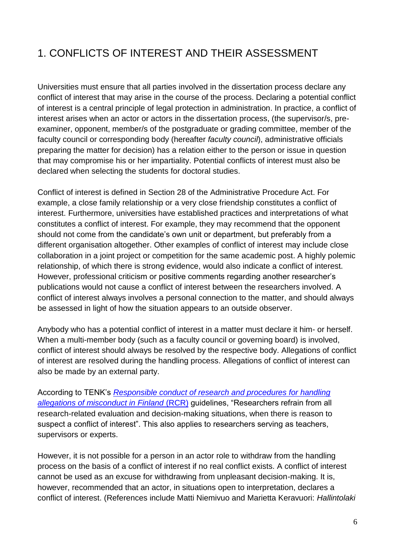# <span id="page-5-0"></span>1. CONFLICTS OF INTEREST AND THEIR ASSESSMENT

Universities must ensure that all parties involved in the dissertation process declare any conflict of interest that may arise in the course of the process. Declaring a potential conflict of interest is a central principle of legal protection in administration. In practice, a conflict of interest arises when an actor or actors in the dissertation process, (the supervisor/s, preexaminer, opponent, member/s of the postgraduate or grading committee, member of the faculty council or corresponding body (hereafter *faculty council*), administrative officials preparing the matter for decision) has a relation either to the person or issue in question that may compromise his or her impartiality. Potential conflicts of interest must also be declared when selecting the students for doctoral studies.

Conflict of interest is defined in Section 28 of the Administrative Procedure Act. For example, a close family relationship or a very close friendship constitutes a conflict of interest. Furthermore, universities have established practices and interpretations of what constitutes a conflict of interest. For example, they may recommend that the opponent should not come from the candidate's own unit or department, but preferably from a different organisation altogether. Other examples of conflict of interest may include close collaboration in a joint project or competition for the same academic post. A highly polemic relationship, of which there is strong evidence, would also indicate a conflict of interest. However, professional criticism or positive comments regarding another researcher's publications would not cause a conflict of interest between the researchers involved. A conflict of interest always involves a personal connection to the matter, and should always be assessed in light of how the situation appears to an outside observer.

Anybody who has a potential conflict of interest in a matter must declare it him- or herself. When a multi-member body (such as a faculty council or governing board) is involved, conflict of interest should always be resolved by the respective body. Allegations of conflict of interest are resolved during the handling process. Allegations of conflict of interest can also be made by an external party.

According to TENK's *[Responsible conduct of research and procedures for handling](http://www.tenk.fi/sites/tenk.fi/files/HTK_ohje_2012.pdf)  [allegations of misconduct in Finland](http://www.tenk.fi/sites/tenk.fi/files/HTK_ohje_2012.pdf)* (RCR) guidelines, "Researchers refrain from all research-related evaluation and decision-making situations, when there is reason to suspect a conflict of interest". This also applies to researchers serving as teachers, supervisors or experts.

However, it is not possible for a person in an actor role to withdraw from the handling process on the basis of a conflict of interest if no real conflict exists. A conflict of interest cannot be used as an excuse for withdrawing from unpleasant decision-making. It is, however, recommended that an actor, in situations open to interpretation, declares a conflict of interest. (References include Matti Niemivuo and Marietta Keravuori: *Hallintolaki*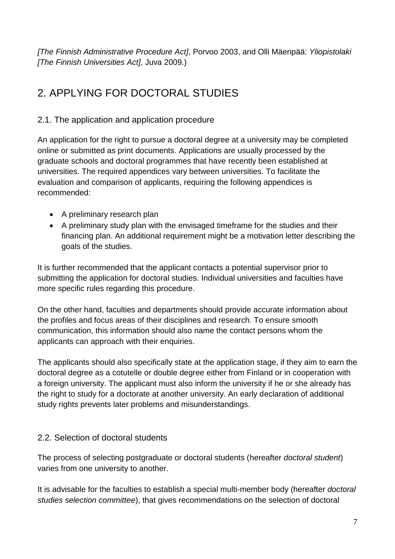*[The Finnish Administrative Procedure Act]*, Porvoo 2003, and Olli Mäenpää: *Yliopistolaki [The Finnish Universities Act]*, Juva 2009.)

# <span id="page-6-0"></span>2. APPLYING FOR DOCTORAL STUDIES

#### <span id="page-6-1"></span>2.1. The application and application procedure

An application for the right to pursue a doctoral degree at a university may be completed online or submitted as print documents. Applications are usually processed by the graduate schools and doctoral programmes that have recently been established at universities. The required appendices vary between universities. To facilitate the evaluation and comparison of applicants, requiring the following appendices is recommended:

- A preliminary research plan
- A preliminary study plan with the envisaged timeframe for the studies and their financing plan. An additional requirement might be a motivation letter describing the goals of the studies.

It is further recommended that the applicant contacts a potential supervisor prior to submitting the application for doctoral studies. Individual universities and faculties have more specific rules regarding this procedure.

On the other hand, faculties and departments should provide accurate information about the profiles and focus areas of their disciplines and research. To ensure smooth communication, this information should also name the contact persons whom the applicants can approach with their enquiries.

The applicants should also specifically state at the application stage, if they aim to earn the doctoral degree as a cotutelle or double degree either from Finland or in cooperation with a foreign university. The applicant must also inform the university if he or she already has the right to study for a doctorate at another university. An early declaration of additional study rights prevents later problems and misunderstandings.

#### <span id="page-6-2"></span>2.2. Selection of doctoral students

The process of selecting postgraduate or doctoral students (hereafter *doctoral student*) varies from one university to another.

It is advisable for the faculties to establish a special multi-member body (hereafter *doctoral studies selection committee*), that gives recommendations on the selection of doctoral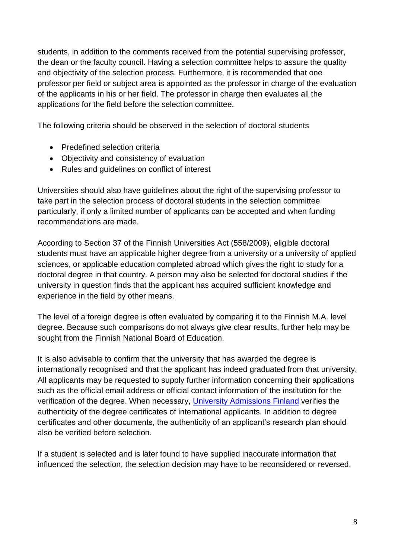students, in addition to the comments received from the potential supervising professor, the dean or the faculty council. Having a selection committee helps to assure the quality and objectivity of the selection process. Furthermore, it is recommended that one professor per field or subject area is appointed as the professor in charge of the evaluation of the applicants in his or her field. The professor in charge then evaluates all the applications for the field before the selection committee.

The following criteria should be observed in the selection of doctoral students

- Predefined selection criteria
- Objectivity and consistency of evaluation
- Rules and guidelines on conflict of interest

Universities should also have guidelines about the right of the supervising professor to take part in the selection process of doctoral students in the selection committee particularly, if only a limited number of applicants can be accepted and when funding recommendations are made.

According to Section 37 of the Finnish Universities Act (558/2009), eligible doctoral students must have an applicable higher degree from a university or a university of applied sciences, or applicable education completed abroad which gives the right to study for a doctoral degree in that country. A person may also be selected for doctoral studies if the university in question finds that the applicant has acquired sufficient knowledge and experience in the field by other means.

The level of a foreign degree is often evaluated by comparing it to the Finnish M.A. level degree. Because such comparisons do not always give clear results, further help may be sought from the Finnish National Board of Education.

It is also advisable to confirm that the university that has awarded the degree is internationally recognised and that the applicant has indeed graduated from that university. All applicants may be requested to supply further information concerning their applications such as the official email address or official contact information of the institution for the verification of the degree. When necessary, [University Admissions Finland](http://universityadmissions.fi/) verifies the authenticity of the degree certificates of international applicants. In addition to degree certificates and other documents, the authenticity of an applicant's research plan should also be verified before selection.

If a student is selected and is later found to have supplied inaccurate information that influenced the selection, the selection decision may have to be reconsidered or reversed.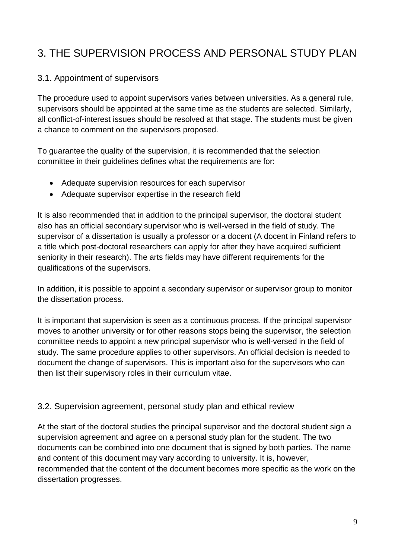## <span id="page-8-0"></span>3. THE SUPERVISION PROCESS AND PERSONAL STUDY PLAN

#### <span id="page-8-1"></span>3.1. Appointment of supervisors

The procedure used to appoint supervisors varies between universities. As a general rule, supervisors should be appointed at the same time as the students are selected. Similarly, all conflict-of-interest issues should be resolved at that stage. The students must be given a chance to comment on the supervisors proposed.

To guarantee the quality of the supervision, it is recommended that the selection committee in their guidelines defines what the requirements are for:

- Adequate supervision resources for each supervisor
- Adequate supervisor expertise in the research field

It is also recommended that in addition to the principal supervisor, the doctoral student also has an official secondary supervisor who is well-versed in the field of study. The supervisor of a dissertation is usually a professor or a docent (A docent in Finland refers to a title which post-doctoral researchers can apply for after they have acquired sufficient seniority in their research). The arts fields may have different requirements for the qualifications of the supervisors.

In addition, it is possible to appoint a secondary supervisor or supervisor group to monitor the dissertation process.

It is important that supervision is seen as a continuous process. If the principal supervisor moves to another university or for other reasons stops being the supervisor, the selection committee needs to appoint a new principal supervisor who is well-versed in the field of study. The same procedure applies to other supervisors. An official decision is needed to document the change of supervisors. This is important also for the supervisors who can then list their supervisory roles in their curriculum vitae.

#### <span id="page-8-2"></span>3.2. Supervision agreement, personal study plan and ethical review

At the start of the doctoral studies the principal supervisor and the doctoral student sign a supervision agreement and agree on a personal study plan for the student. The two documents can be combined into one document that is signed by both parties. The name and content of this document may vary according to university. It is, however, recommended that the content of the document becomes more specific as the work on the dissertation progresses.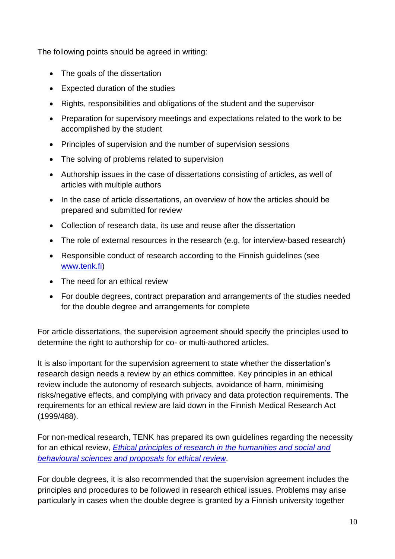The following points should be agreed in writing:

- The goals of the dissertation
- Expected duration of the studies
- Rights, responsibilities and obligations of the student and the supervisor
- Preparation for supervisory meetings and expectations related to the work to be accomplished by the student
- Principles of supervision and the number of supervision sessions
- The solving of problems related to supervision
- Authorship issues in the case of dissertations consisting of articles, as well of articles with multiple authors
- In the case of article dissertations, an overview of how the articles should be prepared and submitted for review
- Collection of research data, its use and reuse after the dissertation
- The role of external resources in the research (e.g. for interview-based research)
- Responsible conduct of research according to the Finnish guidelines (see [www.tenk.fi\)](http://www.tenk.fi/)
- The need for an ethical review
- For double degrees, contract preparation and arrangements of the studies needed for the double degree and arrangements for complete

For article dissertations, the supervision agreement should specify the principles used to determine the right to authorship for co- or multi-authored articles.

It is also important for the supervision agreement to state whether the dissertation's research design needs a review by an ethics committee. Key principles in an ethical review include the autonomy of research subjects, avoidance of harm, minimising risks/negative effects, and complying with privacy and data protection requirements. The requirements for an ethical review are laid down in the Finnish Medical Research Act (1999/488).

For non-medical research, TENK has prepared its own guidelines regarding the necessity for an ethical review, *[Ethical principles of research in the humanities and social and](http://www.tenk.fi/sites/tenk.fi/files/ethicalprinciples.pdf)  [behavioural sciences and proposals for ethical review.](http://www.tenk.fi/sites/tenk.fi/files/ethicalprinciples.pdf)*

For double degrees, it is also recommended that the supervision agreement includes the principles and procedures to be followed in research ethical issues. Problems may arise particularly in cases when the double degree is granted by a Finnish university together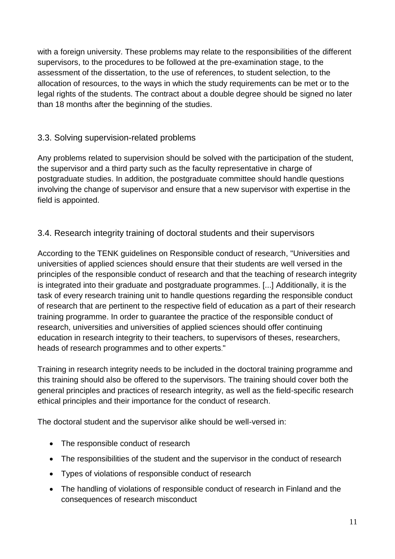with a foreign university. These problems may relate to the responsibilities of the different supervisors, to the procedures to be followed at the pre-examination stage, to the assessment of the dissertation, to the use of references, to student selection, to the allocation of resources, to the ways in which the study requirements can be met or to the legal rights of the students. The contract about a double degree should be signed no later than 18 months after the beginning of the studies.

### <span id="page-10-0"></span>3.3. Solving supervision-related problems

Any problems related to supervision should be solved with the participation of the student, the supervisor and a third party such as the faculty representative in charge of postgraduate studies. In addition, the postgraduate committee should handle questions involving the change of supervisor and ensure that a new supervisor with expertise in the field is appointed.

#### <span id="page-10-1"></span>3.4. Research integrity training of doctoral students and their supervisors

According to the TENK guidelines on Responsible conduct of research, "Universities and universities of applied sciences should ensure that their students are well versed in the principles of the responsible conduct of research and that the teaching of research integrity is integrated into their graduate and postgraduate programmes. [...] Additionally, it is the task of every research training unit to handle questions regarding the responsible conduct of research that are pertinent to the respective field of education as a part of their research training programme. In order to guarantee the practice of the responsible conduct of research, universities and universities of applied sciences should offer continuing education in research integrity to their teachers, to supervisors of theses, researchers, heads of research programmes and to other experts."

Training in research integrity needs to be included in the doctoral training programme and this training should also be offered to the supervisors. The training should cover both the general principles and practices of research integrity, as well as the field-specific research ethical principles and their importance for the conduct of research.

The doctoral student and the supervisor alike should be well-versed in:

- The responsible conduct of research
- The responsibilities of the student and the supervisor in the conduct of research
- Types of violations of responsible conduct of research
- The handling of violations of responsible conduct of research in Finland and the consequences of research misconduct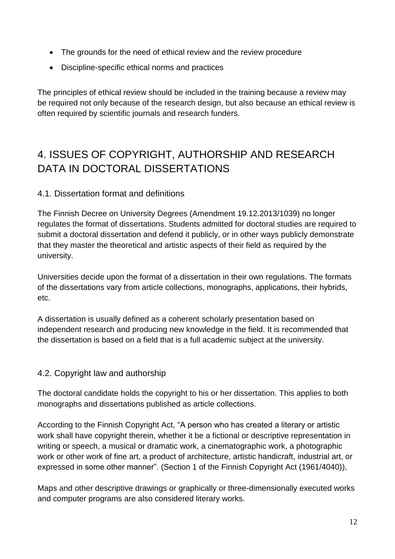- The grounds for the need of ethical review and the review procedure
- Discipline-specific ethical norms and practices

The principles of ethical review should be included in the training because a review may be required not only because of the research design, but also because an ethical review is often required by scientific journals and research funders.

## <span id="page-11-0"></span>4. ISSUES OF COPYRIGHT, AUTHORSHIP AND RESEARCH DATA IN DOCTORAL DISSERTATIONS

#### <span id="page-11-1"></span>4.1. Dissertation format and definitions

The Finnish Decree on University Degrees (Amendment 19.12.2013/1039) no longer regulates the format of dissertations. Students admitted for doctoral studies are required to submit a doctoral dissertation and defend it publicly, or in other ways publicly demonstrate that they master the theoretical and artistic aspects of their field as required by the university.

Universities decide upon the format of a dissertation in their own regulations. The formats of the dissertations vary from article collections, monographs, applications, their hybrids, etc.

A dissertation is usually defined as a coherent scholarly presentation based on independent research and producing new knowledge in the field. It is recommended that the dissertation is based on a field that is a full academic subject at the university.

#### <span id="page-11-2"></span>4.2. Copyright law and authorship

The doctoral candidate holds the copyright to his or her dissertation. This applies to both monographs and dissertations published as article collections.

According to the Finnish Copyright Act, "A person who has created a literary or artistic work shall have copyright therein, whether it be a fictional or descriptive representation in writing or speech, a musical or dramatic work, a cinematographic work, a photographic work or other work of fine art, a product of architecture, artistic handicraft, industrial art, or expressed in some other manner". (Section 1 of the Finnish Copyright Act (1961/4040)),

Maps and other descriptive drawings or graphically or three-dimensionally executed works and computer programs are also considered literary works.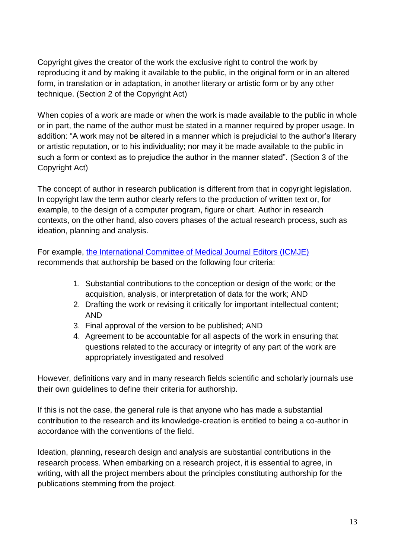Copyright gives the creator of the work the exclusive right to control the work by reproducing it and by making it available to the public, in the original form or in an altered form, in translation or in adaptation, in another literary or artistic form or by any other technique. (Section 2 of the Copyright Act)

When copies of a work are made or when the work is made available to the public in whole or in part, the name of the author must be stated in a manner required by proper usage. In addition: "A work may not be altered in a manner which is prejudicial to the author's literary or artistic reputation, or to his individuality; nor may it be made available to the public in such a form or context as to prejudice the author in the manner stated". (Section 3 of the Copyright Act)

The concept of author in research publication is different from that in copyright legislation. In copyright law the term author clearly refers to the production of written text or, for example, to the design of a computer program, figure or chart. Author in research contexts, on the other hand, also covers phases of the actual research process, such as ideation, planning and analysis.

For example, [the International Committee of Medical Journal Editors \(ICMJE\)](http://www.icmje.org/recommendations/browse/roles-and-responsibilities/defining-the-role-of-authors-and-contributors.html) recommends that authorship be based on the following four criteria:

- 1. Substantial contributions to the conception or design of the work; or the acquisition, analysis, or interpretation of data for the work; AND
- 2. Drafting the work or revising it critically for important intellectual content; AND
- 3. Final approval of the version to be published; AND
- 4. Agreement to be accountable for all aspects of the work in ensuring that questions related to the accuracy or integrity of any part of the work are appropriately investigated and resolved

However, definitions vary and in many research fields scientific and scholarly journals use their own guidelines to define their criteria for authorship.

If this is not the case, the general rule is that anyone who has made a substantial contribution to the research and its knowledge-creation is entitled to being a co-author in accordance with the conventions of the field.

Ideation, planning, research design and analysis are substantial contributions in the research process. When embarking on a research project, it is essential to agree, in writing, with all the project members about the principles constituting authorship for the publications stemming from the project.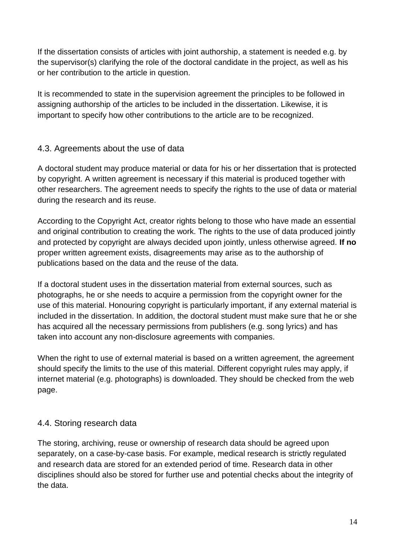If the dissertation consists of articles with joint authorship, a statement is needed e.g. by the supervisor(s) clarifying the role of the doctoral candidate in the project, as well as his or her contribution to the article in question.

It is recommended to state in the supervision agreement the principles to be followed in assigning authorship of the articles to be included in the dissertation. Likewise, it is important to specify how other contributions to the article are to be recognized.

#### <span id="page-13-0"></span>4.3. Agreements about the use of data

A doctoral student may produce material or data for his or her dissertation that is protected by copyright. A written agreement is necessary if this material is produced together with other researchers. The agreement needs to specify the rights to the use of data or material during the research and its reuse.

According to the Copyright Act, creator rights belong to those who have made an essential and original contribution to creating the work. The rights to the use of data produced jointly and protected by copyright are always decided upon jointly, unless otherwise agreed. **If no**  proper written agreement exists, disagreements may arise as to the authorship of publications based on the data and the reuse of the data.

If a doctoral student uses in the dissertation material from external sources, such as photographs, he or she needs to acquire a permission from the copyright owner for the use of this material. Honouring copyright is particularly important, if any external material is included in the dissertation. In addition, the doctoral student must make sure that he or she has acquired all the necessary permissions from publishers (e.g. song lyrics) and has taken into account any non-disclosure agreements with companies.

When the right to use of external material is based on a written agreement, the agreement should specify the limits to the use of this material. Different copyright rules may apply, if internet material (e.g. photographs) is downloaded. They should be checked from the web page.

#### <span id="page-13-1"></span>4.4. Storing research data

The storing, archiving, reuse or ownership of research data should be agreed upon separately, on a case-by-case basis. For example, medical research is strictly regulated and research data are stored for an extended period of time. Research data in other disciplines should also be stored for further use and potential checks about the integrity of the data.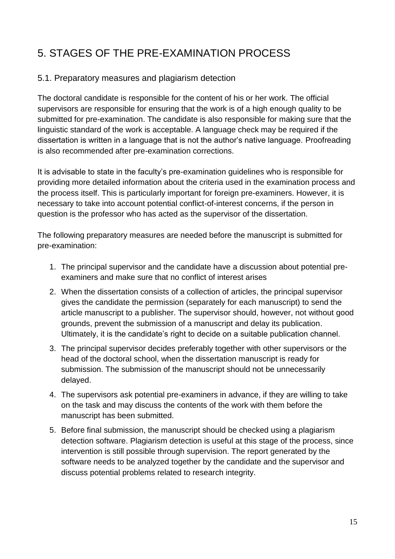# <span id="page-14-0"></span>5. STAGES OF THE PRE-EXAMINATION PROCESS

#### <span id="page-14-1"></span>5.1. Preparatory measures and plagiarism detection

The doctoral candidate is responsible for the content of his or her work. The official supervisors are responsible for ensuring that the work is of a high enough quality to be submitted for pre-examination. The candidate is also responsible for making sure that the linguistic standard of the work is acceptable. A language check may be required if the dissertation is written in a language that is not the author's native language. Proofreading is also recommended after pre-examination corrections.

It is advisable to state in the faculty's pre-examination guidelines who is responsible for providing more detailed information about the criteria used in the examination process and the process itself. This is particularly important for foreign pre-examiners. However, it is necessary to take into account potential conflict-of-interest concerns, if the person in question is the professor who has acted as the supervisor of the dissertation.

The following preparatory measures are needed before the manuscript is submitted for pre-examination:

- 1. The principal supervisor and the candidate have a discussion about potential preexaminers and make sure that no conflict of interest arises
- 2. When the dissertation consists of a collection of articles, the principal supervisor gives the candidate the permission (separately for each manuscript) to send the article manuscript to a publisher. The supervisor should, however, not without good grounds, prevent the submission of a manuscript and delay its publication. Ultimately, it is the candidate's right to decide on a suitable publication channel.
- 3. The principal supervisor decides preferably together with other supervisors or the head of the doctoral school, when the dissertation manuscript is ready for submission. The submission of the manuscript should not be unnecessarily delayed.
- 4. The supervisors ask potential pre-examiners in advance, if they are willing to take on the task and may discuss the contents of the work with them before the manuscript has been submitted.
- 5. Before final submission, the manuscript should be checked using a plagiarism detection software. Plagiarism detection is useful at this stage of the process, since intervention is still possible through supervision. The report generated by the software needs to be analyzed together by the candidate and the supervisor and discuss potential problems related to research integrity.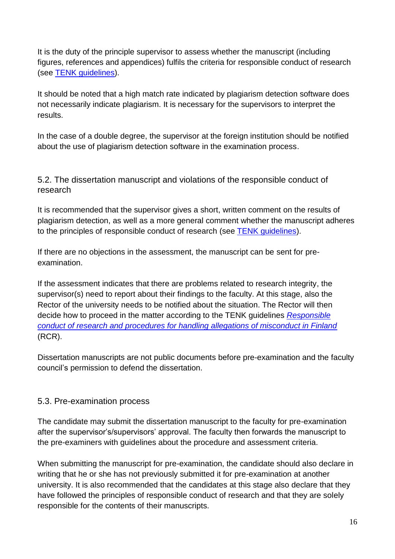It is the duty of the principle supervisor to assess whether the manuscript (including figures, references and appendices) fulfils the criteria for responsible conduct of research (see [TENK guidelines\)](http://www.tenk.fi/sites/tenk.fi/files/HTK_ohje_2012.pdf).

It should be noted that a high match rate indicated by plagiarism detection software does not necessarily indicate plagiarism. It is necessary for the supervisors to interpret the results.

In the case of a double degree, the supervisor at the foreign institution should be notified about the use of plagiarism detection software in the examination process.

<span id="page-15-0"></span>5.2. The dissertation manuscript and violations of the responsible conduct of research

It is recommended that the supervisor gives a short, written comment on the results of plagiarism detection, as well as a more general comment whether the manuscript adheres to the principles of responsible conduct of research (see [TENK guidelines\)](http://www.tenk.fi/sites/tenk.fi/files/HTK_ohje_2012.pdf).

If there are no objections in the assessment, the manuscript can be sent for preexamination.

If the assessment indicates that there are problems related to research integrity, the supervisor(s) need to report about their findings to the faculty. At this stage, also the Rector of the university needs to be notified about the situation. The Rector will then decide how to proceed in the matter according to the TENK guidelines *[Responsible](http://www.tenk.fi/sites/tenk.fi/files/HTK_ohje_2012.pdf)  [conduct of research and procedures for handling allegations of misconduct in Finland](http://www.tenk.fi/sites/tenk.fi/files/HTK_ohje_2012.pdf)* (RCR).

Dissertation manuscripts are not public documents before pre-examination and the faculty council's permission to defend the dissertation.

#### <span id="page-15-1"></span>5.3. Pre-examination process

The candidate may submit the dissertation manuscript to the faculty for pre-examination after the supervisor's/supervisors' approval. The faculty then forwards the manuscript to the pre-examiners with guidelines about the procedure and assessment criteria.

When submitting the manuscript for pre-examination, the candidate should also declare in writing that he or she has not previously submitted it for pre-examination at another university. It is also recommended that the candidates at this stage also declare that they have followed the principles of responsible conduct of research and that they are solely responsible for the contents of their manuscripts.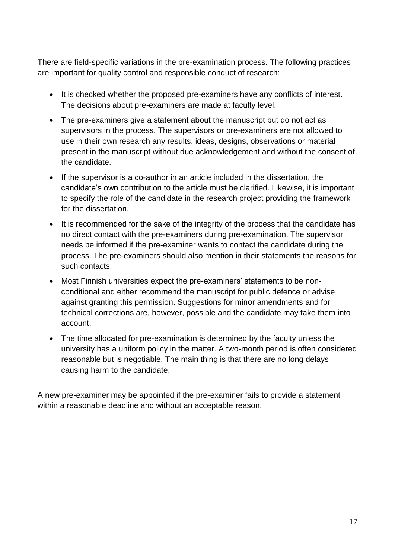There are field-specific variations in the pre-examination process. The following practices are important for quality control and responsible conduct of research:

- It is checked whether the proposed pre-examiners have any conflicts of interest. The decisions about pre-examiners are made at faculty level.
- The pre-examiners give a statement about the manuscript but do not act as supervisors in the process. The supervisors or pre-examiners are not allowed to use in their own research any results, ideas, designs, observations or material present in the manuscript without due acknowledgement and without the consent of the candidate.
- If the supervisor is a co-author in an article included in the dissertation, the candidate's own contribution to the article must be clarified. Likewise, it is important to specify the role of the candidate in the research project providing the framework for the dissertation.
- It is recommended for the sake of the integrity of the process that the candidate has no direct contact with the pre-examiners during pre-examination. The supervisor needs be informed if the pre-examiner wants to contact the candidate during the process. The pre-examiners should also mention in their statements the reasons for such contacts.
- Most Finnish universities expect the pre-examiners' statements to be nonconditional and either recommend the manuscript for public defence or advise against granting this permission. Suggestions for minor amendments and for technical corrections are, however, possible and the candidate may take them into account.
- The time allocated for pre-examination is determined by the faculty unless the university has a uniform policy in the matter. A two-month period is often considered reasonable but is negotiable. The main thing is that there are no long delays causing harm to the candidate.

A new pre-examiner may be appointed if the pre-examiner fails to provide a statement within a reasonable deadline and without an acceptable reason.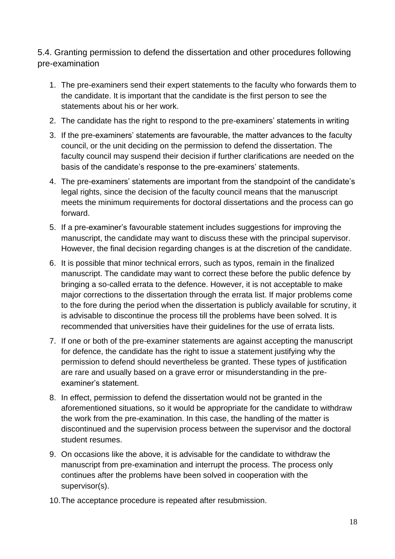<span id="page-17-0"></span>5.4. Granting permission to defend the dissertation and other procedures following pre-examination

- 1. The pre-examiners send their expert statements to the faculty who forwards them to the candidate. It is important that the candidate is the first person to see the statements about his or her work.
- 2. The candidate has the right to respond to the pre-examiners' statements in writing
- 3. If the pre-examiners' statements are favourable, the matter advances to the faculty council, or the unit deciding on the permission to defend the dissertation. The faculty council may suspend their decision if further clarifications are needed on the basis of the candidate's response to the pre-examiners' statements.
- 4. The pre-examiners' statements are important from the standpoint of the candidate's legal rights, since the decision of the faculty council means that the manuscript meets the minimum requirements for doctoral dissertations and the process can go forward.
- 5. If a pre-examiner's favourable statement includes suggestions for improving the manuscript, the candidate may want to discuss these with the principal supervisor. However, the final decision regarding changes is at the discretion of the candidate.
- 6. It is possible that minor technical errors, such as typos, remain in the finalized manuscript. The candidate may want to correct these before the public defence by bringing a so-called errata to the defence. However, it is not acceptable to make major corrections to the dissertation through the errata list. If major problems come to the fore during the period when the dissertation is publicly available for scrutiny, it is advisable to discontinue the process till the problems have been solved. It is recommended that universities have their guidelines for the use of errata lists.
- 7. If one or both of the pre-examiner statements are against accepting the manuscript for defence, the candidate has the right to issue a statement justifying why the permission to defend should nevertheless be granted. These types of justification are rare and usually based on a grave error or misunderstanding in the preexaminer's statement.
- 8. In effect, permission to defend the dissertation would not be granted in the aforementioned situations, so it would be appropriate for the candidate to withdraw the work from the pre-examination. In this case, the handling of the matter is discontinued and the supervision process between the supervisor and the doctoral student resumes.
- 9. On occasions like the above, it is advisable for the candidate to withdraw the manuscript from pre-examination and interrupt the process. The process only continues after the problems have been solved in cooperation with the supervisor(s).
- 10.The acceptance procedure is repeated after resubmission.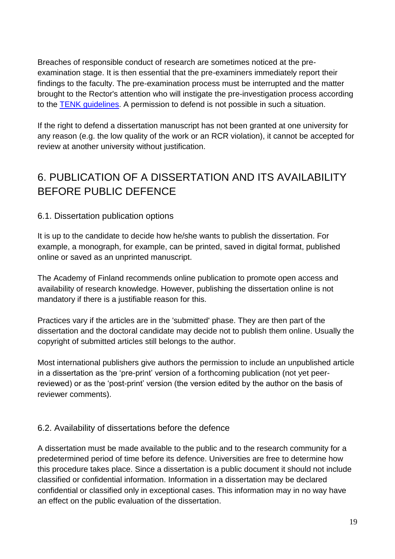Breaches of responsible conduct of research are sometimes noticed at the preexamination stage. It is then essential that the pre-examiners immediately report their findings to the faculty. The pre-examination process must be interrupted and the matter brought to the Rector's attention who will instigate the pre-investigation process according to the [TENK guidelines.](http://www.tenk.fi/sites/tenk.fi/files/HTK_ohje_2012.pdf) A permission to defend is not possible in such a situation.

If the right to defend a dissertation manuscript has not been granted at one university for any reason (e.g. the low quality of the work or an RCR violation), it cannot be accepted for review at another university without justification.

# <span id="page-18-0"></span>6. PUBLICATION OF A DISSERTATION AND ITS AVAILABILITY BEFORE PUBLIC DEFENCE

### <span id="page-18-1"></span>6.1. Dissertation publication options

It is up to the candidate to decide how he/she wants to publish the dissertation. For example, a monograph, for example, can be printed, saved in digital format, published online or saved as an unprinted manuscript.

The Academy of Finland recommends online publication to promote open access and availability of research knowledge. However, publishing the dissertation online is not mandatory if there is a justifiable reason for this.

Practices vary if the articles are in the 'submitted' phase. They are then part of the dissertation and the doctoral candidate may decide not to publish them online. Usually the copyright of submitted articles still belongs to the author.

Most international publishers give authors the permission to include an unpublished article in a dissertation as the 'pre-print' version of a forthcoming publication (not yet peerreviewed) or as the 'post-print' version (the version edited by the author on the basis of reviewer comments).

#### <span id="page-18-2"></span>6.2. Availability of dissertations before the defence

A dissertation must be made available to the public and to the research community for a predetermined period of time before its defence. Universities are free to determine how this procedure takes place. Since a dissertation is a public document it should not include classified or confidential information. Information in a dissertation may be declared confidential or classified only in exceptional cases. This information may in no way have an effect on the public evaluation of the dissertation.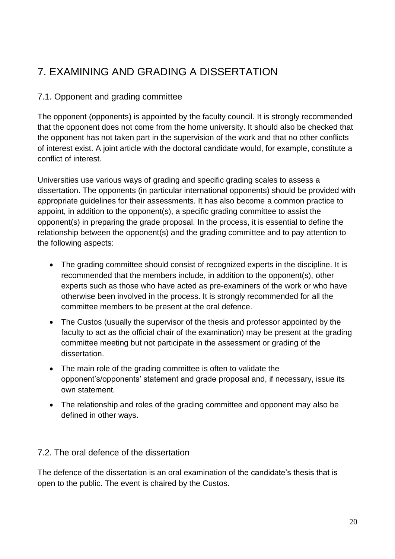# <span id="page-19-0"></span>7. EXAMINING AND GRADING A DISSERTATION

### <span id="page-19-1"></span>7.1. Opponent and grading committee

The opponent (opponents) is appointed by the faculty council. It is strongly recommended that the opponent does not come from the home university. It should also be checked that the opponent has not taken part in the supervision of the work and that no other conflicts of interest exist. A joint article with the doctoral candidate would, for example, constitute a conflict of interest.

Universities use various ways of grading and specific grading scales to assess a dissertation. The opponents (in particular international opponents) should be provided with appropriate guidelines for their assessments. It has also become a common practice to appoint, in addition to the opponent(s), a specific grading committee to assist the opponent(s) in preparing the grade proposal. In the process, it is essential to define the relationship between the opponent(s) and the grading committee and to pay attention to the following aspects:

- The grading committee should consist of recognized experts in the discipline. It is recommended that the members include, in addition to the opponent(s), other experts such as those who have acted as pre-examiners of the work or who have otherwise been involved in the process. It is strongly recommended for all the committee members to be present at the oral defence.
- The Custos (usually the supervisor of the thesis and professor appointed by the faculty to act as the official chair of the examination) may be present at the grading committee meeting but not participate in the assessment or grading of the dissertation.
- The main role of the grading committee is often to validate the opponent's/opponents' statement and grade proposal and, if necessary, issue its own statement.
- The relationship and roles of the grading committee and opponent may also be defined in other ways.

#### <span id="page-19-2"></span>7.2. The oral defence of the dissertation

The defence of the dissertation is an oral examination of the candidate's thesis that is open to the public. The event is chaired by the Custos.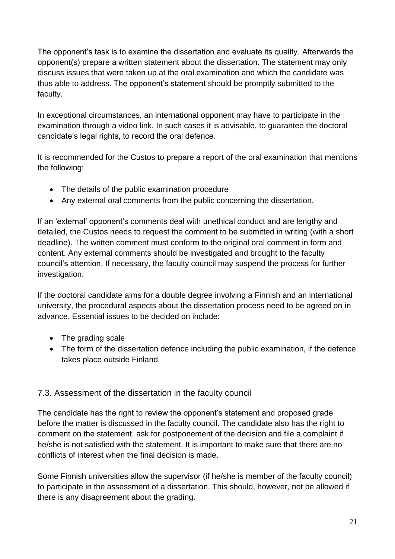The opponent's task is to examine the dissertation and evaluate its quality. Afterwards the opponent(s) prepare a written statement about the dissertation. The statement may only discuss issues that were taken up at the oral examination and which the candidate was thus able to address. The opponent's statement should be promptly submitted to the faculty.

In exceptional circumstances, an international opponent may have to participate in the examination through a video link. In such cases it is advisable, to guarantee the doctoral candidate's legal rights, to record the oral defence.

It is recommended for the Custos to prepare a report of the oral examination that mentions the following:

- The details of the public examination procedure
- Any external oral comments from the public concerning the dissertation.

If an 'external' opponent's comments deal with unethical conduct and are lengthy and detailed, the Custos needs to request the comment to be submitted in writing (with a short deadline). The written comment must conform to the original oral comment in form and content. Any external comments should be investigated and brought to the faculty council's attention. If necessary, the faculty council may suspend the process for further investigation.

If the doctoral candidate aims for a double degree involving a Finnish and an international university, the procedural aspects about the dissertation process need to be agreed on in advance. Essential issues to be decided on include:

- The grading scale
- The form of the dissertation defence including the public examination, if the defence takes place outside Finland.

### <span id="page-20-0"></span>7.3. Assessment of the dissertation in the faculty council

The candidate has the right to review the opponent's statement and proposed grade before the matter is discussed in the faculty council. The candidate also has the right to comment on the statement, ask for postponement of the decision and file a complaint if he/she is not satisfied with the statement. It is important to make sure that there are no conflicts of interest when the final decision is made.

Some Finnish universities allow the supervisor (if he/she is member of the faculty council) to participate in the assessment of a dissertation. This should, however, not be allowed if there is any disagreement about the grading.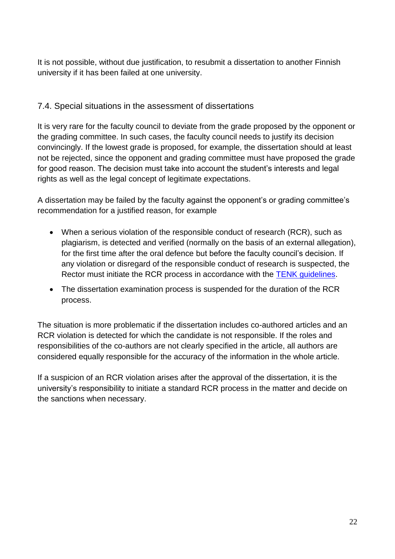It is not possible, without due justification, to resubmit a dissertation to another Finnish university if it has been failed at one university.

### <span id="page-21-0"></span>7.4. Special situations in the assessment of dissertations

It is very rare for the faculty council to deviate from the grade proposed by the opponent or the grading committee. In such cases, the faculty council needs to justify its decision convincingly. If the lowest grade is proposed, for example, the dissertation should at least not be rejected, since the opponent and grading committee must have proposed the grade for good reason. The decision must take into account the student's interests and legal rights as well as the legal concept of legitimate expectations.

A dissertation may be failed by the faculty against the opponent's or grading committee's recommendation for a justified reason, for example

- When a serious violation of the responsible conduct of research (RCR), such as plagiarism, is detected and verified (normally on the basis of an external allegation), for the first time after the oral defence but before the faculty council's decision. If any violation or disregard of the responsible conduct of research is suspected, the Rector must initiate the RCR process in accordance with the [TENK guidelines.](http://www.tenk.fi/sites/tenk.fi/files/HTK_ohje_2012.pdf)
- The dissertation examination process is suspended for the duration of the RCR process.

The situation is more problematic if the dissertation includes co-authored articles and an RCR violation is detected for which the candidate is not responsible. If the roles and responsibilities of the co-authors are not clearly specified in the article, all authors are considered equally responsible for the accuracy of the information in the whole article.

If a suspicion of an RCR violation arises after the approval of the dissertation, it is the university's responsibility to initiate a standard RCR process in the matter and decide on the sanctions when necessary.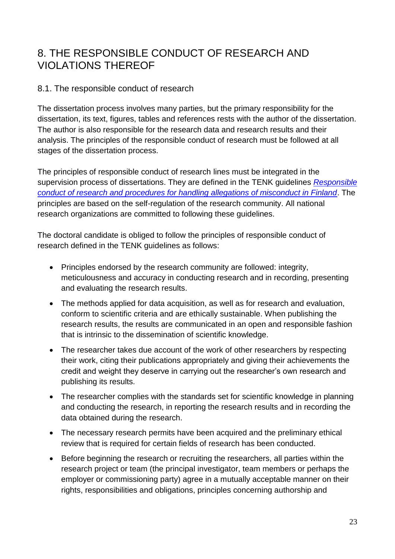### <span id="page-22-0"></span>8. THE RESPONSIBLE CONDUCT OF RESEARCH AND VIOLATIONS THEREOF

#### <span id="page-22-1"></span>8.1. The responsible conduct of research

The dissertation process involves many parties, but the primary responsibility for the dissertation, its text, figures, tables and references rests with the author of the dissertation. The author is also responsible for the research data and research results and their analysis. The principles of the responsible conduct of research must be followed at all stages of the dissertation process.

The principles of responsible conduct of research lines must be integrated in the supervision process of dissertations. They are defined in the TENK guidelines *[Responsible](http://www.tenk.fi/sites/tenk.fi/files/HTK_ohje_2012.pdf)  [conduct of research and procedures for handling allegations of misconduct in Finland](http://www.tenk.fi/sites/tenk.fi/files/HTK_ohje_2012.pdf)*. The principles are based on the self-regulation of the research community. All national research organizations are committed to following these guidelines.

The doctoral candidate is obliged to follow the principles of responsible conduct of research defined in the TENK guidelines as follows:

- Principles endorsed by the research community are followed: integrity, meticulousness and accuracy in conducting research and in recording, presenting and evaluating the research results.
- The methods applied for data acquisition, as well as for research and evaluation, conform to scientific criteria and are ethically sustainable. When publishing the research results, the results are communicated in an open and responsible fashion that is intrinsic to the dissemination of scientific knowledge.
- The researcher takes due account of the work of other researchers by respecting their work, citing their publications appropriately and giving their achievements the credit and weight they deserve in carrying out the researcher's own research and publishing its results.
- The researcher complies with the standards set for scientific knowledge in planning and conducting the research, in reporting the research results and in recording the data obtained during the research.
- The necessary research permits have been acquired and the preliminary ethical review that is required for certain fields of research has been conducted.
- Before beginning the research or recruiting the researchers, all parties within the research project or team (the principal investigator, team members or perhaps the employer or commissioning party) agree in a mutually acceptable manner on their rights, responsibilities and obligations, principles concerning authorship and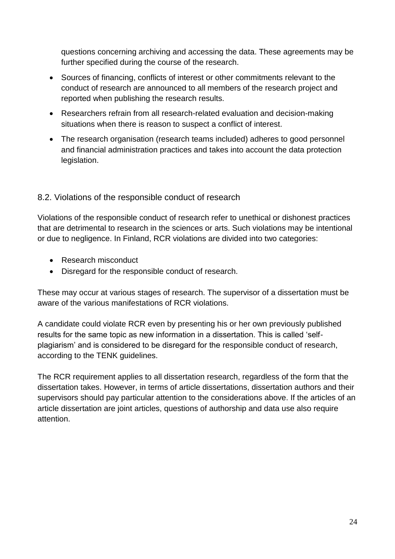questions concerning archiving and accessing the data. These agreements may be further specified during the course of the research.

- Sources of financing, conflicts of interest or other commitments relevant to the conduct of research are announced to all members of the research project and reported when publishing the research results.
- Researchers refrain from all research-related evaluation and decision-making situations when there is reason to suspect a conflict of interest.
- The research organisation (research teams included) adheres to good personnel and financial administration practices and takes into account the data protection legislation.

### <span id="page-23-0"></span>8.2. Violations of the responsible conduct of research

Violations of the responsible conduct of research refer to unethical or dishonest practices that are detrimental to research in the sciences or arts. Such violations may be intentional or due to negligence. In Finland, RCR violations are divided into two categories:

- Research misconduct
- Disregard for the responsible conduct of research.

These may occur at various stages of research. The supervisor of a dissertation must be aware of the various manifestations of RCR violations.

A candidate could violate RCR even by presenting his or her own previously published results for the same topic as new information in a dissertation. This is called 'selfplagiarism' and is considered to be disregard for the responsible conduct of research, according to the TENK guidelines.

The RCR requirement applies to all dissertation research, regardless of the form that the dissertation takes. However, in terms of article dissertations, dissertation authors and their supervisors should pay particular attention to the considerations above. If the articles of an article dissertation are joint articles, questions of authorship and data use also require attention.